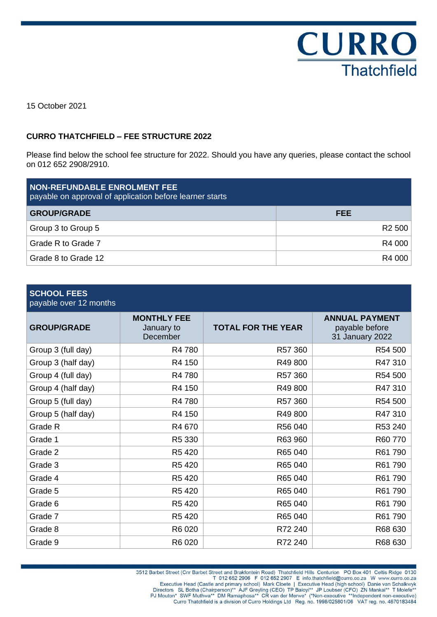

15 October 2021

#### **CURRO THATCHFIELD – FEE STRUCTURE 2022**

Please find below the school fee structure for 2022. Should you have any queries, please contact the school on 012 652 2908/2910.

| NON-REFUNDABLE ENROLMENT FEE<br>payable on approval of application before learner starts |                    |  |  |
|------------------------------------------------------------------------------------------|--------------------|--|--|
| <b>GROUP/GRADE</b>                                                                       | FEE                |  |  |
| Group 3 to Group 5                                                                       | R <sub>2</sub> 500 |  |  |
| Grade R to Grade 7                                                                       | R4 000             |  |  |
| Grade 8 to Grade 12                                                                      | R4 000             |  |  |

### **SCHOOL FEES**

| payable over 12 months |                                              |                           |                                                            |
|------------------------|----------------------------------------------|---------------------------|------------------------------------------------------------|
| <b>GROUP/GRADE</b>     | <b>MONTHLY FEE</b><br>January to<br>December | <b>TOTAL FOR THE YEAR</b> | <b>ANNUAL PAYMENT</b><br>payable before<br>31 January 2022 |
| Group 3 (full day)     | R4 780                                       | R57 360                   | R54 500                                                    |
| Group 3 (half day)     | R4 150                                       | R49 800                   | R47 310                                                    |
| Group 4 (full day)     | R4 780                                       | R57 360                   | R54 500                                                    |
| Group 4 (half day)     | R4 150                                       | R49 800                   | R47 310                                                    |
| Group 5 (full day)     | R4 780                                       | R57 360                   | R54 500                                                    |
| Group 5 (half day)     | R4 150                                       | R49 800                   | R47 310                                                    |
| Grade R                | R4 670                                       | R56 040                   | R53 240                                                    |
| Grade 1                | R5 330                                       | R63 960                   | R60 770                                                    |
| Grade 2                | R5 420                                       | R65 040                   | R61 790                                                    |
| Grade 3                | R5 420                                       | R65 040                   | R61 790                                                    |
| Grade 4                | R5 420                                       | R65 040                   | R61 790                                                    |
| Grade 5                | R5 420                                       | R65 040                   | R61 790                                                    |
| Grade 6                | R5 420                                       | R65 040                   | R61 790                                                    |
| Grade 7                | R5 420                                       | R65 040                   | R61 790                                                    |
| Grade 8                | R6 020                                       | R72 240                   | R68 630                                                    |
| Grade 9                | R6 020                                       | R72 240                   | R68 630                                                    |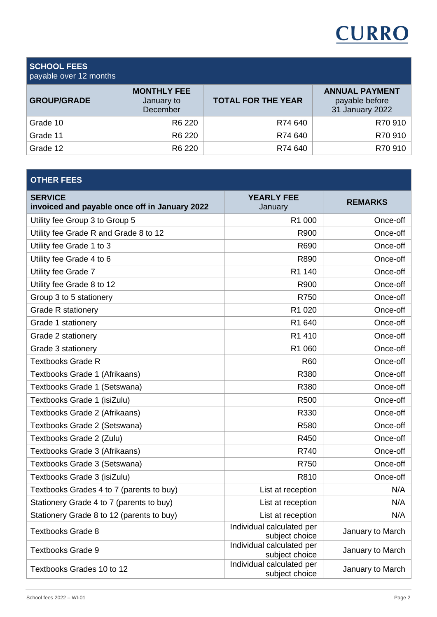## **CURRO**

### **SCHOOL FEES**

| payable over 12 months |                                              |                           |                                                            |  |
|------------------------|----------------------------------------------|---------------------------|------------------------------------------------------------|--|
| <b>GROUP/GRADE</b>     | <b>MONTHLY FEE</b><br>January to<br>December | <b>TOTAL FOR THE YEAR</b> | <b>ANNUAL PAYMENT</b><br>payable before<br>31 January 2022 |  |
| Grade 10               | R6 220                                       | R74 640                   | R70 910                                                    |  |
| Grade 11               | R <sub>6</sub> 220                           | R74 640                   | R70 910                                                    |  |
| Grade 12               | R <sub>6</sub> 220                           | R74 640                   | R70 910                                                    |  |

| <b>OTHER FEES</b>                                               |                                             |                  |
|-----------------------------------------------------------------|---------------------------------------------|------------------|
| <b>SERVICE</b><br>invoiced and payable once off in January 2022 | <b>YEARLY FEE</b><br>January                | <b>REMARKS</b>   |
| Utility fee Group 3 to Group 5                                  | R1 000                                      | Once-off         |
| Utility fee Grade R and Grade 8 to 12                           | R900                                        | Once-off         |
| Utility fee Grade 1 to 3                                        | R690                                        | Once-off         |
| Utility fee Grade 4 to 6                                        | R890                                        | Once-off         |
| Utility fee Grade 7                                             | R1 140                                      | Once-off         |
| Utility fee Grade 8 to 12                                       | R900                                        | Once-off         |
| Group 3 to 5 stationery                                         | R750                                        | Once-off         |
| <b>Grade R stationery</b>                                       | R1 020                                      | Once-off         |
| Grade 1 stationery                                              | R1 640                                      | Once-off         |
| Grade 2 stationery                                              | R1 410                                      | Once-off         |
| Grade 3 stationery                                              | R1 060                                      | Once-off         |
| <b>Textbooks Grade R</b>                                        | <b>R60</b>                                  | Once-off         |
| Textbooks Grade 1 (Afrikaans)                                   | R380                                        | Once-off         |
| Textbooks Grade 1 (Setswana)                                    | R380                                        | Once-off         |
| Textbooks Grade 1 (isiZulu)                                     | R500                                        | Once-off         |
| Textbooks Grade 2 (Afrikaans)                                   | R330                                        | Once-off         |
| Textbooks Grade 2 (Setswana)                                    | R580                                        | Once-off         |
| Textbooks Grade 2 (Zulu)                                        | R450                                        | Once-off         |
| Textbooks Grade 3 (Afrikaans)                                   | R740                                        | Once-off         |
| Textbooks Grade 3 (Setswana)                                    | R750                                        | Once-off         |
| Textbooks Grade 3 (isiZulu)                                     | R810                                        | Once-off         |
| Textbooks Grades 4 to 7 (parents to buy)                        | List at reception                           | N/A              |
| Stationery Grade 4 to 7 (parents to buy)                        | List at reception                           | N/A              |
| Stationery Grade 8 to 12 (parents to buy)                       | List at reception                           | N/A              |
| <b>Textbooks Grade 8</b>                                        | Individual calculated per<br>subject choice | January to March |
| <b>Textbooks Grade 9</b>                                        | Individual calculated per<br>subject choice | January to March |
| Textbooks Grades 10 to 12                                       | Individual calculated per<br>subject choice | January to March |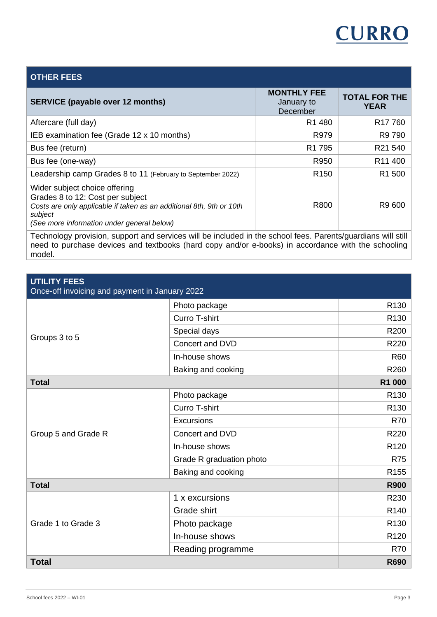

| <b>OTHER FEES</b>                                                                                                                                                                                  |                                              |                                     |
|----------------------------------------------------------------------------------------------------------------------------------------------------------------------------------------------------|----------------------------------------------|-------------------------------------|
| <b>SERVICE (payable over 12 months)</b>                                                                                                                                                            | <b>MONTHLY FEE</b><br>January to<br>December | <b>TOTAL FOR THE</b><br><b>YEAR</b> |
| Aftercare (full day)                                                                                                                                                                               | R <sub>1</sub> 480                           | R <sub>17</sub> 760                 |
| IEB examination fee (Grade 12 x 10 months)                                                                                                                                                         | R979                                         | R9 790                              |
| Bus fee (return)                                                                                                                                                                                   | R <sub>1</sub> 795                           | R21 540                             |
| Bus fee (one-way)                                                                                                                                                                                  | R950                                         | R <sub>11</sub> 400                 |
| Leadership camp Grades 8 to 11 (February to September 2022)                                                                                                                                        | R <sub>150</sub>                             | R <sub>1</sub> 500                  |
| Wider subject choice offering<br>Grades 8 to 12: Cost per subject<br>Costs are only applicable if taken as an additional 8th, 9th or 10th<br>subject<br>(See more information under general below) | R800                                         | R9 600                              |
| Technology provision, support and services will be included in the school fees. Parents/guardians will still                                                                                       |                                              |                                     |

Technology provision, support and services will be included in the school fees. Parents/guardians will still need to purchase devices and textbooks (hard copy and/or e-books) in accordance with the schooling model.

| <b>UTILITY FEES</b><br>Once-off invoicing and payment in January 2022 |                          |                  |  |
|-----------------------------------------------------------------------|--------------------------|------------------|--|
| Groups 3 to 5                                                         | Photo package            | R <sub>130</sub> |  |
|                                                                       | Curro T-shirt            | R <sub>130</sub> |  |
|                                                                       | Special days             | R200             |  |
|                                                                       | Concert and DVD          | R220             |  |
|                                                                       | In-house shows           | <b>R60</b>       |  |
|                                                                       | Baking and cooking       | R260             |  |
| <b>Total</b>                                                          | R1 000                   |                  |  |
|                                                                       | Photo package            | R <sub>130</sub> |  |
|                                                                       | Curro T-shirt            | R <sub>130</sub> |  |
|                                                                       | Excursions               | <b>R70</b>       |  |
| Group 5 and Grade R                                                   | Concert and DVD          | R220             |  |
|                                                                       | In-house shows           | R <sub>120</sub> |  |
|                                                                       | Grade R graduation photo | <b>R75</b>       |  |
|                                                                       | Baking and cooking       | R <sub>155</sub> |  |
| <b>Total</b>                                                          | <b>R900</b>              |                  |  |
|                                                                       | 1 x excursions           | R230             |  |
|                                                                       | Grade shirt              | R <sub>140</sub> |  |
| Grade 1 to Grade 3                                                    | Photo package            | R <sub>130</sub> |  |
|                                                                       | In-house shows           | R <sub>120</sub> |  |
|                                                                       | Reading programme        | <b>R70</b>       |  |
| <b>Total</b>                                                          |                          | <b>R690</b>      |  |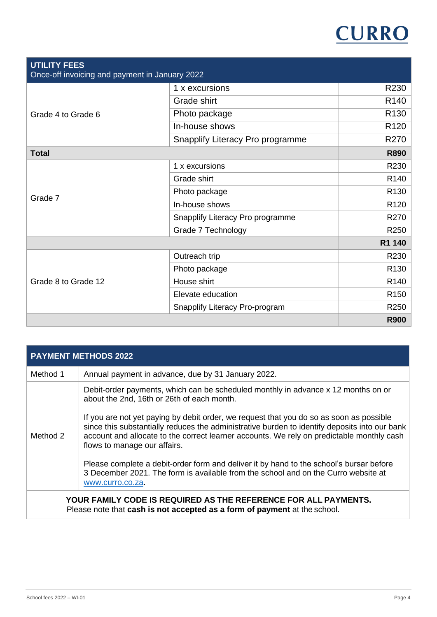# **CURRO**

| <b>UTILITY FEES</b><br>Once-off invoicing and payment in January 2022 |                                  |                  |  |
|-----------------------------------------------------------------------|----------------------------------|------------------|--|
|                                                                       | 1 x excursions                   | R230             |  |
| Grade 4 to Grade 6                                                    | Grade shirt                      | R <sub>140</sub> |  |
|                                                                       | Photo package                    | R <sub>130</sub> |  |
|                                                                       | In-house shows                   | R <sub>120</sub> |  |
|                                                                       | Snapplify Literacy Pro programme | R270             |  |
| <b>Total</b>                                                          | <b>R890</b>                      |                  |  |
|                                                                       | 1 x excursions                   | R230             |  |
|                                                                       | Grade shirt                      | R <sub>140</sub> |  |
|                                                                       | Photo package                    | R <sub>130</sub> |  |
| Grade 7                                                               | In-house shows                   | R <sub>120</sub> |  |
|                                                                       | Snapplify Literacy Pro programme | R270             |  |
|                                                                       | Grade 7 Technology               | R250             |  |
|                                                                       | R1 140                           |                  |  |
|                                                                       | Outreach trip                    | R230             |  |
|                                                                       | Photo package                    | R <sub>130</sub> |  |
| Grade 8 to Grade 12                                                   | House shirt                      | R <sub>140</sub> |  |
|                                                                       | Elevate education                | R <sub>150</sub> |  |
|                                                                       | Snapplify Literacy Pro-program   | R250             |  |
|                                                                       |                                  | <b>R900</b>      |  |

|          | <b>PAYMENT METHODS 2022</b>                                                                                                                                                                                                                                                                                           |
|----------|-----------------------------------------------------------------------------------------------------------------------------------------------------------------------------------------------------------------------------------------------------------------------------------------------------------------------|
| Method 1 | Annual payment in advance, due by 31 January 2022.                                                                                                                                                                                                                                                                    |
|          | Debit-order payments, which can be scheduled monthly in advance x 12 months on or<br>about the 2nd, 16th or 26th of each month.                                                                                                                                                                                       |
| Method 2 | If you are not yet paying by debit order, we request that you do so as soon as possible<br>since this substantially reduces the administrative burden to identify deposits into our bank<br>account and allocate to the correct learner accounts. We rely on predictable monthly cash<br>flows to manage our affairs. |
|          | Please complete a debit-order form and deliver it by hand to the school's bursar before<br>3 December 2021. The form is available from the school and on the Curro website at<br>www.curro.co.za.                                                                                                                     |
|          | YOUR FAMILY CODE IS REQUIRED AS THE REFERENCE FOR ALL PAYMENTS.<br>Please note that cash is not accepted as a form of payment at the school.                                                                                                                                                                          |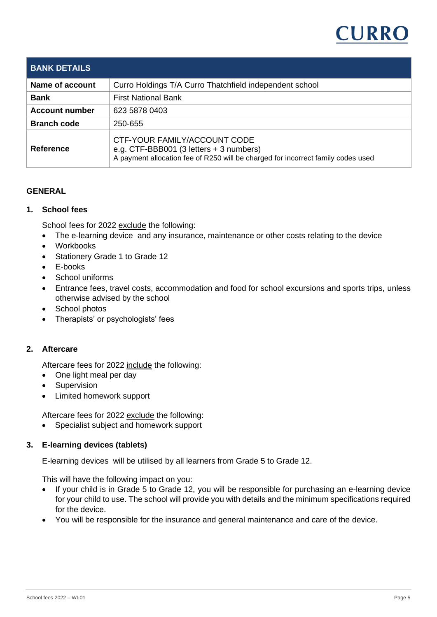

| <b>BANK DETAILS</b>   |                                                                                                                                                                               |
|-----------------------|-------------------------------------------------------------------------------------------------------------------------------------------------------------------------------|
| Name of account       | Curro Holdings T/A Curro Thatchfield independent school                                                                                                                       |
| <b>Bank</b>           | <b>First National Bank</b>                                                                                                                                                    |
| <b>Account number</b> | 623 5878 0403                                                                                                                                                                 |
| <b>Branch code</b>    | 250-655                                                                                                                                                                       |
| <b>Reference</b>      | CTF-YOUR FAMILY/ACCOUNT CODE<br>e.g. CTF-BBB001 $(3 \text{ letters} + 3 \text{ numbers})$<br>A payment allocation fee of R250 will be charged for incorrect family codes used |

#### **GENERAL**

#### **1. School fees**

School fees for 2022 exclude the following:

- The e-learning device and any insurance, maintenance or other costs relating to the device
- Workbooks
- Stationery Grade 1 to Grade 12
- E-books
- School uniforms
- Entrance fees, travel costs, accommodation and food for school excursions and sports trips, unless otherwise advised by the school
- School photos
- Therapists' or psychologists' fees

#### **2. Aftercare**

Aftercare fees for 2022 include the following:

- One light meal per day
- Supervision
- Limited homework support

Aftercare fees for 2022 exclude the following:

• Specialist subject and homework support

#### **3. E-learning devices (tablets)**

E-learning devices will be utilised by all learners from Grade 5 to Grade 12.

This will have the following impact on you:

- If your child is in Grade 5 to Grade 12, you will be responsible for purchasing an e-learning device for your child to use. The school will provide you with details and the minimum specifications required for the device.
- You will be responsible for the insurance and general maintenance and care of the device.